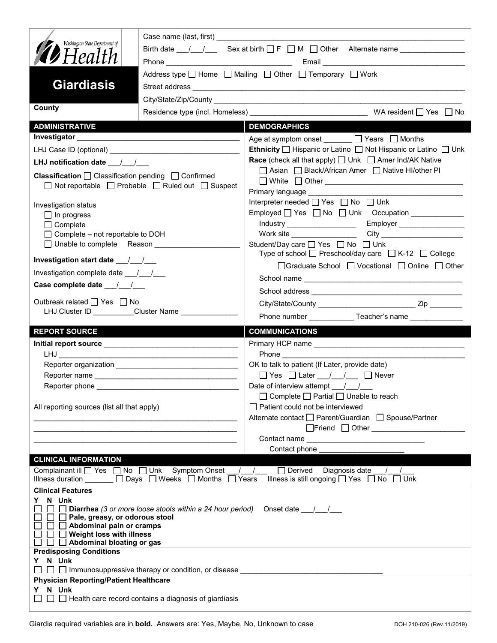| Washington State Department of                                                 |                                                                                                                        | Birth date $\frac{1}{\sqrt{2}}$ Sex at birth $\Box F \Box M \Box$ Other Alternate name _____________                         |  |  |
|--------------------------------------------------------------------------------|------------------------------------------------------------------------------------------------------------------------|------------------------------------------------------------------------------------------------------------------------------|--|--|
| <b>D</b> Health                                                                |                                                                                                                        |                                                                                                                              |  |  |
|                                                                                |                                                                                                                        |                                                                                                                              |  |  |
| <b>Giardiasis</b>                                                              | Address type $\Box$ Home $\Box$ Mailing $\Box$ Other $\Box$ Temporary $\Box$ Work                                      |                                                                                                                              |  |  |
|                                                                                |                                                                                                                        |                                                                                                                              |  |  |
| County                                                                         |                                                                                                                        |                                                                                                                              |  |  |
|                                                                                |                                                                                                                        | <b>DEMOGRAPHICS</b>                                                                                                          |  |  |
| <b>ADMINISTRATIVE</b>                                                          |                                                                                                                        |                                                                                                                              |  |  |
|                                                                                |                                                                                                                        | Age at symptom onset ______ □ Years □ Months                                                                                 |  |  |
|                                                                                |                                                                                                                        | <b>Ethnicity</b> $\Box$ Hispanic or Latino $\Box$ Not Hispanic or Latino $\Box$ Unk                                          |  |  |
| LHJ notification date $\frac{1}{2}$                                            |                                                                                                                        | <b>Race</b> (check all that apply) $\Box$ Unk $\Box$ Amer Ind/AK Native<br>□ Asian □ Black/African Amer □ Native HI/other PI |  |  |
| <b>Classification</b> $\Box$ Classification pending $\Box$ Confirmed           |                                                                                                                        |                                                                                                                              |  |  |
|                                                                                | □ Not reportable □ Probable □ Ruled out □ Suspect                                                                      | Primary language ____________                                                                                                |  |  |
|                                                                                |                                                                                                                        | Interpreter needed □ Yes □ No □ Unk                                                                                          |  |  |
| Investigation status<br>$\Box$ In progress                                     |                                                                                                                        | Employed   Yes   No   Unk Occupation ____________                                                                            |  |  |
| $\Box$ Complete                                                                |                                                                                                                        | Employer ____________________<br>Industry _____________________                                                              |  |  |
| $\Box$ Complete – not reportable to DOH                                        |                                                                                                                        |                                                                                                                              |  |  |
| □ Unable to complete Reason                                                    |                                                                                                                        | Student/Day care □ Yes □ No □ Unk<br>Type of school $\Box$ Preschool/day care $\Box$ K-12 $\Box$ College                     |  |  |
|                                                                                |                                                                                                                        | □Graduate School □ Vocational □ Online □ Other                                                                               |  |  |
| Investigation complete date 11/1                                               |                                                                                                                        |                                                                                                                              |  |  |
| Case complete date 11                                                          |                                                                                                                        |                                                                                                                              |  |  |
| Outbreak related $\Box$ Yes $\Box$ No                                          |                                                                                                                        |                                                                                                                              |  |  |
| LHJ Cluster ID __________Cluster Name ____________                             |                                                                                                                        |                                                                                                                              |  |  |
|                                                                                |                                                                                                                        |                                                                                                                              |  |  |
|                                                                                |                                                                                                                        |                                                                                                                              |  |  |
| <b>REPORT SOURCE</b>                                                           |                                                                                                                        | <b>COMMUNICATIONS</b>                                                                                                        |  |  |
|                                                                                |                                                                                                                        |                                                                                                                              |  |  |
|                                                                                | <u> 1989 - Johann John Harry Harry Harry Harry Harry Harry Harry Harry Harry Harry Harry Harry Harry Harry Harry H</u> |                                                                                                                              |  |  |
|                                                                                |                                                                                                                        | OK to talk to patient (If Later, provide date)                                                                               |  |  |
|                                                                                |                                                                                                                        | $\Box$ Yes $\Box$ Later $\Box$ / $\Box$ $\Box$ Never                                                                         |  |  |
|                                                                                |                                                                                                                        | Date of interview attempt $\frac{1}{\sqrt{2}}$<br>$\Box$ Complete $\Box$ Partial $\Box$ Unable to reach                      |  |  |
| All reporting sources (list all that apply)                                    |                                                                                                                        | Patient could not be interviewed                                                                                             |  |  |
|                                                                                |                                                                                                                        | Alternate contact<br>□ Parent/Guardian<br>□ Spouse/Partner                                                                   |  |  |
|                                                                                |                                                                                                                        |                                                                                                                              |  |  |
|                                                                                |                                                                                                                        |                                                                                                                              |  |  |
|                                                                                |                                                                                                                        | Contact phone ________________________                                                                                       |  |  |
| <b>CLINICAL INFORMATION</b>                                                    |                                                                                                                        |                                                                                                                              |  |  |
|                                                                                | Complainant ill <u>on</u> Yes and No and Unk Symptom Onset 1 1                                                         | $\Box$ Derived Diagnosis date / /                                                                                            |  |  |
|                                                                                | Illness duration $\Box$ Days $\Box$ Weeks $\Box$ Months $\Box$ Years                                                   | Illness is still ongoing $\Box$ Yes $\Box$ No $\Box$ Unk                                                                     |  |  |
| <b>Clinical Features</b><br>N Unk<br>Y.                                        |                                                                                                                        |                                                                                                                              |  |  |
|                                                                                | <b>Diarrhea</b> (3 or more loose stools within a 24 hour period) Onset date $\frac{1}{\sqrt{2}}$                       |                                                                                                                              |  |  |
| $\Box$ $\Box$ Pale, greasy, or odorous stool                                   |                                                                                                                        |                                                                                                                              |  |  |
| Abdominal pain or cramps<br>$\Box$ Weight loss with illness                    |                                                                                                                        |                                                                                                                              |  |  |
| $\Box$ Abdominal bloating or gas                                               |                                                                                                                        |                                                                                                                              |  |  |
| <b>Predisposing Conditions</b>                                                 |                                                                                                                        |                                                                                                                              |  |  |
| N Unk<br>Y.                                                                    |                                                                                                                        |                                                                                                                              |  |  |
| <b>Physician Reporting/Patient Healthcare</b>                                  |                                                                                                                        |                                                                                                                              |  |  |
| Y N Unk<br>$\Box$ $\Box$ Health care record contains a diagnosis of giardiasis |                                                                                                                        |                                                                                                                              |  |  |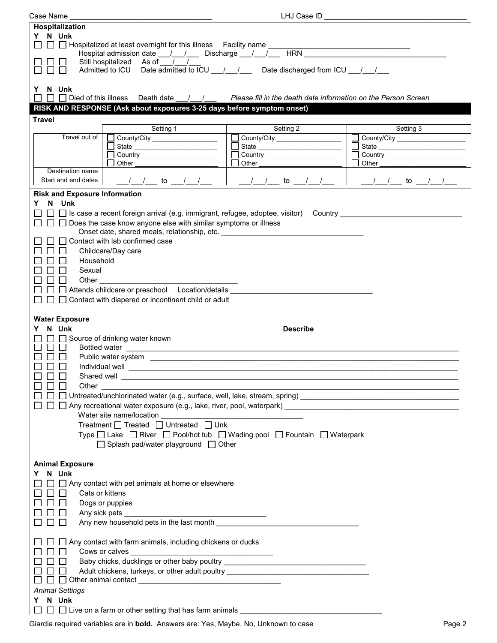| Case Name                                                                                                                                                                                                                           | LHJ Case ID                                          |                                                |  |
|-------------------------------------------------------------------------------------------------------------------------------------------------------------------------------------------------------------------------------------|------------------------------------------------------|------------------------------------------------|--|
| Hospitalization                                                                                                                                                                                                                     |                                                      |                                                |  |
| Y N Unk<br>$\Box$ $\Box$ Hospitalized at least overnight for this illness Facility name $\Box$                                                                                                                                      |                                                      | <u> 1989 - Johann Stein, marwolaethau a bh</u> |  |
| Hospital admission date ___/___/____ Discharge ___/___/___<br>Still hospitalized As of / /                                                                                                                                          |                                                      | HRN HRN                                        |  |
| Admitted to ICU Date admitted to ICU / / Date discharged from ICU / /                                                                                                                                                               |                                                      |                                                |  |
| Y N Unk<br>□ □ Died of this illness Death date / / / Please fill in the death date information on the Person Screen                                                                                                                 |                                                      |                                                |  |
| RISK AND RESPONSE (Ask about exposures 3-25 days before symptom onset)                                                                                                                                                              |                                                      |                                                |  |
| <b>Travel</b>                                                                                                                                                                                                                       |                                                      |                                                |  |
| Setting 1<br>Travel out of                                                                                                                                                                                                          | Setting 2                                            | Setting 3                                      |  |
| County/City ____________________<br>State __________________________                                                                                                                                                                | County/City _____________________                    | $\Box$                                         |  |
| Country ______________________                                                                                                                                                                                                      |                                                      | $\mathbf{I}$                                   |  |
| Other                                                                                                                                                                                                                               | Other                                                | Other                                          |  |
| Destination name<br>Start and end dates<br>$\frac{1}{2}$<br>$\frac{1}{2}$                                                                                                                                                           | $\sqrt{1}$                                           | $\frac{1}{2}$<br>$\sqrt{ }$                    |  |
| to                                                                                                                                                                                                                                  | $\left  \begin{array}{cc} \end{array} \right $<br>to | to                                             |  |
| <b>Risk and Exposure Information</b>                                                                                                                                                                                                |                                                      |                                                |  |
| N Unk<br>Y.                                                                                                                                                                                                                         |                                                      |                                                |  |
| Does the case know anyone else with similar symptoms or illness<br>$\blacksquare$                                                                                                                                                   |                                                      |                                                |  |
| Onset date, shared meals, relationship, etc. ___________________________________                                                                                                                                                    |                                                      |                                                |  |
| Contact with lab confirmed case                                                                                                                                                                                                     |                                                      |                                                |  |
| Childcare/Day care                                                                                                                                                                                                                  |                                                      |                                                |  |
| Household                                                                                                                                                                                                                           |                                                      |                                                |  |
| Sexual                                                                                                                                                                                                                              |                                                      |                                                |  |
| Other                                                                                                                                                                                                                               |                                                      |                                                |  |
| □ Attends childcare or preschool Location/details                                                                                                                                                                                   |                                                      |                                                |  |
| $\Box$ Contact with diapered or incontinent child or adult                                                                                                                                                                          |                                                      |                                                |  |
|                                                                                                                                                                                                                                     |                                                      |                                                |  |
| <b>Water Exposure</b>                                                                                                                                                                                                               |                                                      |                                                |  |
| N Unk<br>Y.<br>$\Box$ Source of drinking water known                                                                                                                                                                                | <b>Describe</b>                                      |                                                |  |
| П<br>Bottled water experience and the second contract of the second contract of the second contract of the second contract of the second contract of the second contract of the second contract of the second contract of the secon |                                                      |                                                |  |
| $\perp$                                                                                                                                                                                                                             |                                                      |                                                |  |
| Individual well<br>$\mathsf{L}$                                                                                                                                                                                                     |                                                      |                                                |  |
| 88 8 8<br>Shared well                                                                                                                                                                                                               |                                                      |                                                |  |
| $\Box$<br>$\perp$<br>Other                                                                                                                                                                                                          |                                                      |                                                |  |
|                                                                                                                                                                                                                                     |                                                      |                                                |  |
|                                                                                                                                                                                                                                     |                                                      |                                                |  |
| Water site name/location                                                                                                                                                                                                            |                                                      |                                                |  |
| Treatment □ Treated □ Untreated □ Unk                                                                                                                                                                                               |                                                      |                                                |  |
| Type □ Lake □ River □ Pool/hot tub □ Wading pool □ Fountain □ Waterpark                                                                                                                                                             |                                                      |                                                |  |
|                                                                                                                                                                                                                                     |                                                      |                                                |  |
| □ Splash pad/water playground □ Other                                                                                                                                                                                               |                                                      |                                                |  |
|                                                                                                                                                                                                                                     |                                                      |                                                |  |
| <b>Animal Exposure</b><br>Y N Unk                                                                                                                                                                                                   |                                                      |                                                |  |
| $\Box$ Any contact with pet animals at home or elsewhere                                                                                                                                                                            |                                                      |                                                |  |
| $\Box$ $\Box$<br>Cats or kittens                                                                                                                                                                                                    |                                                      |                                                |  |
| □□<br>Dogs or puppies                                                                                                                                                                                                               |                                                      |                                                |  |
| $\Box$                                                                                                                                                                                                                              |                                                      |                                                |  |
| Any new household pets in the last month<br>$\Box$                                                                                                                                                                                  |                                                      |                                                |  |
| $\Box$ Any contact with farm animals, including chickens or ducks                                                                                                                                                                   |                                                      |                                                |  |
| □□□<br>Cows or calves                                                                                                                                                                                                               |                                                      |                                                |  |
| Baby chicks, ducklings or other baby poultry ___________________________________<br>$\square$ $\square$                                                                                                                             |                                                      |                                                |  |
| Adult chickens, turkeys, or other adult poultry ________________________________<br>$\Box$ $\Box$                                                                                                                                   |                                                      |                                                |  |
|                                                                                                                                                                                                                                     |                                                      |                                                |  |
| <b>Animal Settings</b><br>Y N Unk                                                                                                                                                                                                   |                                                      |                                                |  |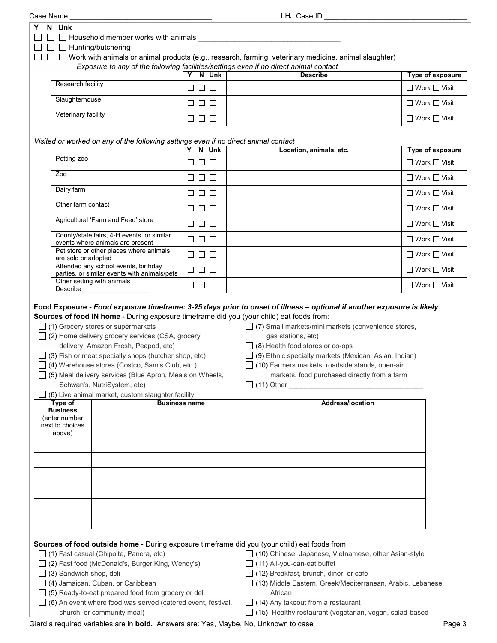| Case Name                                                                                                                                                                                                                                                                                                                                                                                                                                                                                                             |                      |  | LHJ Case ID                                                                                                                                                                                                                                                                                                                               |                          |
|-----------------------------------------------------------------------------------------------------------------------------------------------------------------------------------------------------------------------------------------------------------------------------------------------------------------------------------------------------------------------------------------------------------------------------------------------------------------------------------------------------------------------|----------------------|--|-------------------------------------------------------------------------------------------------------------------------------------------------------------------------------------------------------------------------------------------------------------------------------------------------------------------------------------------|--------------------------|
| N Unk<br>Y<br>$\Box$ $\Box$ Household member works with animals $\_\_$<br>$\Box$ Hunting/butchering                                                                                                                                                                                                                                                                                                                                                                                                                   |                      |  |                                                                                                                                                                                                                                                                                                                                           |                          |
| $\Box$ Work with animals or animal products (e.g., research, farming, veterinary medicine, animal slaughter)<br>ΙI                                                                                                                                                                                                                                                                                                                                                                                                    |                      |  |                                                                                                                                                                                                                                                                                                                                           |                          |
| Exposure to any of the following facilities/settings even if no direct animal contact                                                                                                                                                                                                                                                                                                                                                                                                                                 | Y N Unk              |  | <b>Describe</b>                                                                                                                                                                                                                                                                                                                           | Type of exposure         |
| Research facility                                                                                                                                                                                                                                                                                                                                                                                                                                                                                                     | $\Box$ $\Box$ $\Box$ |  |                                                                                                                                                                                                                                                                                                                                           | □ Work □ Visit           |
| Slaughterhouse                                                                                                                                                                                                                                                                                                                                                                                                                                                                                                        | $\Box$ $\Box$ $\Box$ |  |                                                                                                                                                                                                                                                                                                                                           | □ Work □ Visit           |
| Veterinary facility                                                                                                                                                                                                                                                                                                                                                                                                                                                                                                   | $\Box$ $\Box$ $\Box$ |  |                                                                                                                                                                                                                                                                                                                                           | $\Box$ Work $\Box$ Visit |
| Visited or worked on any of the following settings even if no direct animal contact                                                                                                                                                                                                                                                                                                                                                                                                                                   |                      |  |                                                                                                                                                                                                                                                                                                                                           |                          |
|                                                                                                                                                                                                                                                                                                                                                                                                                                                                                                                       | Y N Unk              |  | Location, animals, etc.                                                                                                                                                                                                                                                                                                                   | Type of exposure         |
| Petting zoo                                                                                                                                                                                                                                                                                                                                                                                                                                                                                                           | 88 8 8               |  |                                                                                                                                                                                                                                                                                                                                           | $\Box$ Work $\Box$ Visit |
| Zoo                                                                                                                                                                                                                                                                                                                                                                                                                                                                                                                   | $\Box$ $\Box$ $\Box$ |  |                                                                                                                                                                                                                                                                                                                                           | $\Box$ Work $\Box$ Visit |
| Dairy farm                                                                                                                                                                                                                                                                                                                                                                                                                                                                                                            | $\Box$ $\Box$ $\Box$ |  |                                                                                                                                                                                                                                                                                                                                           | $\Box$ Work $\Box$ Visit |
| Other farm contact                                                                                                                                                                                                                                                                                                                                                                                                                                                                                                    | $\Box$ $\Box$ $\Box$ |  |                                                                                                                                                                                                                                                                                                                                           | $\Box$ Work $\Box$ Visit |
| Agricultural 'Farm and Feed' store                                                                                                                                                                                                                                                                                                                                                                                                                                                                                    | $\Box$ $\Box$ $\Box$ |  |                                                                                                                                                                                                                                                                                                                                           | $\Box$ Work $\Box$ Visit |
| County/state fairs, 4-H events, or similar<br>events where animals are present                                                                                                                                                                                                                                                                                                                                                                                                                                        | $\Box$ $\Box$ $\Box$ |  |                                                                                                                                                                                                                                                                                                                                           | $\Box$ Work $\Box$ Visit |
| Pet store or other places where animals<br>are sold or adopted                                                                                                                                                                                                                                                                                                                                                                                                                                                        | $\Box$ $\Box$ $\Box$ |  |                                                                                                                                                                                                                                                                                                                                           | $\Box$ Work $\Box$ Visit |
| Attended any school events, birthday<br>parties, or similar events with animals/pets                                                                                                                                                                                                                                                                                                                                                                                                                                  | <b>000</b>           |  |                                                                                                                                                                                                                                                                                                                                           | $\Box$ Work $\Box$ Visit |
| Other setting with animals<br>Describe                                                                                                                                                                                                                                                                                                                                                                                                                                                                                | $\Box$ $\Box$ $\Box$ |  |                                                                                                                                                                                                                                                                                                                                           | $\Box$ Work $\Box$ Visit |
| Sources of food IN home - During exposure timeframe did you (your child) eat foods from:<br>$\Box$ (1) Grocery stores or supermarkets<br>$\Box$ (2) Home delivery grocery services (CSA, grocery<br>delivery, Amazon Fresh, Peapod, etc)<br>$\Box$ (3) Fish or meat specialty shops (butcher shop, etc)<br>□ (4) Warehouse stores (Costco, Sam's Club, etc.)<br>□ (5) Meal delivery services (Blue Apron, Meals on Wheels,<br>Schwan's, NutriSystem, etc)<br>$\Box$ (6) Live animal market, custom slaughter facility |                      |  | $\Box$ (7) Small markets/mini markets (convenience stores,<br>gas stations, etc)<br>$\Box$ (8) Health food stores or co-ops<br>$\Box$ (9) Ethnic specialty markets (Mexican, Asian, Indian)<br>$\Box$ (10) Farmers markets, roadside stands, open-air<br>markets, food purchased directly from a farm                                     |                          |
| Type of<br><b>Business</b><br>(enter number<br>next to choices<br>above)                                                                                                                                                                                                                                                                                                                                                                                                                                              | <b>Business name</b> |  | <b>Address/location</b>                                                                                                                                                                                                                                                                                                                   |                          |
|                                                                                                                                                                                                                                                                                                                                                                                                                                                                                                                       |                      |  |                                                                                                                                                                                                                                                                                                                                           |                          |
| Sources of food outside home - During exposure timeframe did you (your child) eat foods from:<br>$\Box$ (1) Fast casual (Chipolte, Panera, etc)<br>□ (2) Fast food (McDonald's, Burger King, Wendy's)<br>$\Box$ (3) Sandwich shop, deli<br>$\Box$ (4) Jamaican, Cuban, or Caribbean<br>$\Box$ (5) Ready-to-eat prepared food from grocery or deli<br>$\Box$ (6) An event where food was served (catered event, festival,<br>church, or community meal)                                                                |                      |  | □ (10) Chinese, Japanese, Vietnamese, other Asian-style<br>$\Box$ (11) All-you-can-eat buffet<br>$\Box$ (12) Breakfast, brunch, diner, or café<br>□ (13) Middle Eastern, Greek/Mediterranean, Arabic, Lebanese,<br>African<br>$\Box$ (14) Any takeout from a restaurant<br>$\Box$ (15) Healthy restaurant (vegetarian, vegan, salad-based |                          |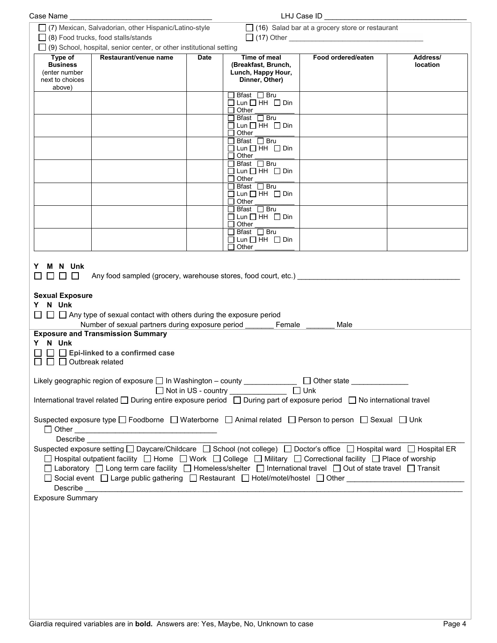| Case Name                                                                |                                                                                                                                                                                                                                                                                                                                                                                                                                                                                                                                                                                                                                                                                                                     |             |                                                                                                               | LHJ Case ID                                            |                      |
|--------------------------------------------------------------------------|---------------------------------------------------------------------------------------------------------------------------------------------------------------------------------------------------------------------------------------------------------------------------------------------------------------------------------------------------------------------------------------------------------------------------------------------------------------------------------------------------------------------------------------------------------------------------------------------------------------------------------------------------------------------------------------------------------------------|-------------|---------------------------------------------------------------------------------------------------------------|--------------------------------------------------------|----------------------|
|                                                                          | ◯ (7) Mexican, Salvadorian, other Hispanic/Latino-style<br>$\Box$ (8) Food trucks, food stalls/stands                                                                                                                                                                                                                                                                                                                                                                                                                                                                                                                                                                                                               |             |                                                                                                               | $\Box$ (16) Salad bar at a grocery store or restaurant |                      |
| Type of<br><b>Business</b><br>(enter number<br>next to choices<br>above) | $\Box$ (9) School, hospital, senior center, or other institutional setting<br>Restaurant/venue name                                                                                                                                                                                                                                                                                                                                                                                                                                                                                                                                                                                                                 | <b>Date</b> | Time of meal<br>(Breakfast, Brunch,<br>Lunch, Happy Hour,<br>Dinner, Other)                                   | Food ordered/eaten                                     | Address/<br>location |
|                                                                          |                                                                                                                                                                                                                                                                                                                                                                                                                                                                                                                                                                                                                                                                                                                     |             | Bfast □ Bru<br>$\Box$ Lun $\Box$ HH $\Box$ Din<br>$\Box$ Other                                                |                                                        |                      |
|                                                                          |                                                                                                                                                                                                                                                                                                                                                                                                                                                                                                                                                                                                                                                                                                                     |             | $\Box$ Bfast $\Box$ Bru<br>$\Box$ Lun $\Box$ HH $\Box$ Din<br>$\Box$ Other<br>$\Box$ Bfast $\Box$ Bru         |                                                        |                      |
|                                                                          |                                                                                                                                                                                                                                                                                                                                                                                                                                                                                                                                                                                                                                                                                                                     |             | $\Box$ Lun $\Box$ HH $\Box$ Din<br>$\Box$ Other<br>□ Bfast □ Bru                                              |                                                        |                      |
|                                                                          |                                                                                                                                                                                                                                                                                                                                                                                                                                                                                                                                                                                                                                                                                                                     |             | $\Box$ Lun $\Box$ HH $\Box$ Din<br>$\Box$ Other<br>$\Box$ Bfast $\Box$ Bru<br>$\Box$ Lun $\Box$ HH $\Box$ Din |                                                        |                      |
|                                                                          |                                                                                                                                                                                                                                                                                                                                                                                                                                                                                                                                                                                                                                                                                                                     |             | Other<br>□ Bfast □ Bru<br>$\Box$ Lun $\Box$ HH $\Box$ Din                                                     |                                                        |                      |
|                                                                          |                                                                                                                                                                                                                                                                                                                                                                                                                                                                                                                                                                                                                                                                                                                     |             | $\sqcap$ Other<br>□ Bfast □ Bru<br>$\Box$ Lun $\Box$ HH $\Box$ Din<br>Other                                   |                                                        |                      |
| <b>Sexual Exposure</b><br>N Unk<br>Y.<br>Y N Unk<br>$\Box$               | $\Box~\Box~\Box$ Any type of sexual contact with others during the exposure period<br>Number of sexual partners during exposure period<br><b>Exposure and Transmission Summary</b><br>$\Box$ Epi-linked to a confirmed case<br>Outbreak related                                                                                                                                                                                                                                                                                                                                                                                                                                                                     |             | Female                                                                                                        | Male                                                   |                      |
|                                                                          | Likely geographic region of exposure □ In Washington - county ____________ □ Other state __________<br>International travel related □ During entire exposure period □ During part of exposure period □ No international travel                                                                                                                                                                                                                                                                                                                                                                                                                                                                                      |             | □ Not in US - country _______________ □ Unk                                                                   |                                                        |                      |
| Describe                                                                 | Suspected exposure type $\Box$ Foodborne $\Box$ Waterborne $\Box$ Animal related $\Box$ Person to person $\Box$ Sexual $\Box$ Unk                                                                                                                                                                                                                                                                                                                                                                                                                                                                                                                                                                                   |             |                                                                                                               |                                                        |                      |
| <b>Exposure Summary</b>                                                  | Suspected exposure setting □ Daycare/Childcare □ School (not college) □ Doctor's office □ Hospital ward □ Hospital ER<br>□ Hospital outpatient facility □ Home □ Work □ College □ Military □ Correctional facility □ Place of worship<br>□ Laboratory □ Long term care facility □ Homeless/shelter □ International travel □ Out of state travel □ Transit<br>□ Social event □ Large public gathering □ Restaurant □ Hotel/motel/hostel □ Other ____________________________<br>Describe <b>Executive Contract of the Contract of Contract Contract of Contract Contract Contract On Contract Contract On Contract On Contract On Contract On Contract On Contract On Contract On Contract On Contract On Contra</b> |             |                                                                                                               |                                                        |                      |
|                                                                          |                                                                                                                                                                                                                                                                                                                                                                                                                                                                                                                                                                                                                                                                                                                     |             |                                                                                                               |                                                        |                      |
|                                                                          |                                                                                                                                                                                                                                                                                                                                                                                                                                                                                                                                                                                                                                                                                                                     |             |                                                                                                               |                                                        |                      |
|                                                                          |                                                                                                                                                                                                                                                                                                                                                                                                                                                                                                                                                                                                                                                                                                                     |             |                                                                                                               |                                                        |                      |
|                                                                          |                                                                                                                                                                                                                                                                                                                                                                                                                                                                                                                                                                                                                                                                                                                     |             |                                                                                                               |                                                        |                      |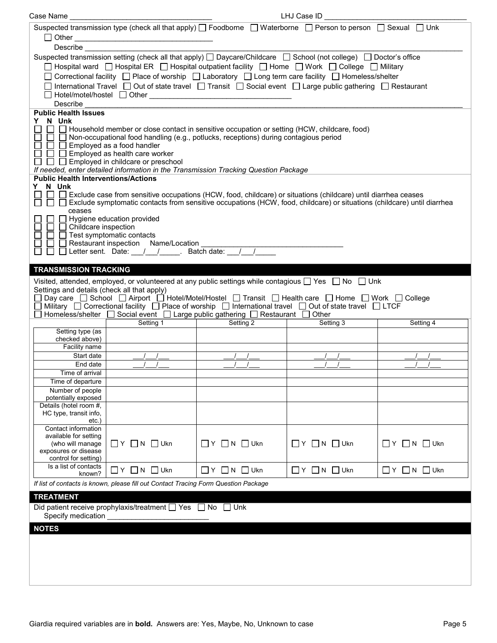| Suspected transmission type (check all that apply) $\Box$ Foodborne $\Box$ Waterborne $\Box$ Person to person $\Box$ Sexual $\Box$ Unk<br>Describe the contract of the contract of the contract of the contract of the contract of the contract of the contract of the contract of the contract of the contract of the contract of the contract of the contract of the c<br>Suspected transmission setting (check all that apply) □ Daycare/Childcare □ School (not college) □ Doctor's office<br>□ Hospital ward □ Hospital ER □ Hospital outpatient facility □ Home □ Work □ College □ Military |  |
|---------------------------------------------------------------------------------------------------------------------------------------------------------------------------------------------------------------------------------------------------------------------------------------------------------------------------------------------------------------------------------------------------------------------------------------------------------------------------------------------------------------------------------------------------------------------------------------------------|--|
|                                                                                                                                                                                                                                                                                                                                                                                                                                                                                                                                                                                                   |  |
|                                                                                                                                                                                                                                                                                                                                                                                                                                                                                                                                                                                                   |  |
|                                                                                                                                                                                                                                                                                                                                                                                                                                                                                                                                                                                                   |  |
|                                                                                                                                                                                                                                                                                                                                                                                                                                                                                                                                                                                                   |  |
|                                                                                                                                                                                                                                                                                                                                                                                                                                                                                                                                                                                                   |  |
| □ Correctional facility □ Place of worship □ Laboratory □ Long term care facility □ Homeless/shelter                                                                                                                                                                                                                                                                                                                                                                                                                                                                                              |  |
| □ International Travel □ Out of state travel □ Transit □ Social event □ Large public gathering □ Restaurant                                                                                                                                                                                                                                                                                                                                                                                                                                                                                       |  |
|                                                                                                                                                                                                                                                                                                                                                                                                                                                                                                                                                                                                   |  |
| Describe                                                                                                                                                                                                                                                                                                                                                                                                                                                                                                                                                                                          |  |
| <b>Public Health Issues</b>                                                                                                                                                                                                                                                                                                                                                                                                                                                                                                                                                                       |  |
| Y N Unk                                                                                                                                                                                                                                                                                                                                                                                                                                                                                                                                                                                           |  |
| □ □ Household member or close contact in sensitive occupation or setting (HCW, childcare, food)<br>$\Box$ Non-occupational food handling (e.g., potlucks, receptions) during contagious period                                                                                                                                                                                                                                                                                                                                                                                                    |  |
| $\Box$ Employed as a food handler                                                                                                                                                                                                                                                                                                                                                                                                                                                                                                                                                                 |  |
| $\Box$ Employed as health care worker                                                                                                                                                                                                                                                                                                                                                                                                                                                                                                                                                             |  |
| $\Box$ $\Box$ Employed in childcare or preschool                                                                                                                                                                                                                                                                                                                                                                                                                                                                                                                                                  |  |
| If needed, enter detailed information in the Transmission Tracking Question Package                                                                                                                                                                                                                                                                                                                                                                                                                                                                                                               |  |
| <b>Public Health Interventions/Actions</b>                                                                                                                                                                                                                                                                                                                                                                                                                                                                                                                                                        |  |
| Y N Unk<br>$\Box$ $\Box$<br>Exclude case from sensitive occupations (HCW, food, childcare) or situations (childcare) until diarrhea ceases                                                                                                                                                                                                                                                                                                                                                                                                                                                        |  |
| □ □ Exclude symptomatic contacts from sensitive occupations (HCW, food, childcare) or situations (childcare) until diarrhea                                                                                                                                                                                                                                                                                                                                                                                                                                                                       |  |
| ceases                                                                                                                                                                                                                                                                                                                                                                                                                                                                                                                                                                                            |  |
| $\Box$ Hygiene education provided                                                                                                                                                                                                                                                                                                                                                                                                                                                                                                                                                                 |  |
| $\Box$ $\Box$ Childcare inspection                                                                                                                                                                                                                                                                                                                                                                                                                                                                                                                                                                |  |
| $\Box$ Test symptomatic contacts                                                                                                                                                                                                                                                                                                                                                                                                                                                                                                                                                                  |  |
| Restaurant inspection Name/Location<br>$\Box$<br>□ □ Letter sent. Date: __/ __/ ____. Batch date: __/ __/                                                                                                                                                                                                                                                                                                                                                                                                                                                                                         |  |
|                                                                                                                                                                                                                                                                                                                                                                                                                                                                                                                                                                                                   |  |
| <b>TRANSMISSION TRACKING</b>                                                                                                                                                                                                                                                                                                                                                                                                                                                                                                                                                                      |  |
| Visited, attended, employed, or volunteered at any public settings while contagious $\Box$ Yes $\Box$ No $\Box$ Unk                                                                                                                                                                                                                                                                                                                                                                                                                                                                               |  |
| Settings and details (check all that apply)                                                                                                                                                                                                                                                                                                                                                                                                                                                                                                                                                       |  |
| Day care □ School □ Airport □ Hotel/Motel/Hostel □ Transit □ Health care □ Home □ Work □ College                                                                                                                                                                                                                                                                                                                                                                                                                                                                                                  |  |
| Military $\Box$ Correctional facility $\Box$ Place of worship $\Box$ International travel $\Box$ Out of state travel $\Box$ LTCF                                                                                                                                                                                                                                                                                                                                                                                                                                                                  |  |
| Homeless/shelter $\Box$ Social event $\Box$ Large public gathering $\Box$ Restaurant $\Box$ Other                                                                                                                                                                                                                                                                                                                                                                                                                                                                                                 |  |
| Setting 2<br>Setting 1<br>Setting 3<br>Setting 4                                                                                                                                                                                                                                                                                                                                                                                                                                                                                                                                                  |  |
| Setting type (as<br>checked above)                                                                                                                                                                                                                                                                                                                                                                                                                                                                                                                                                                |  |
| Facility name                                                                                                                                                                                                                                                                                                                                                                                                                                                                                                                                                                                     |  |
| Start date                                                                                                                                                                                                                                                                                                                                                                                                                                                                                                                                                                                        |  |
| End date                                                                                                                                                                                                                                                                                                                                                                                                                                                                                                                                                                                          |  |
| Time of arrival                                                                                                                                                                                                                                                                                                                                                                                                                                                                                                                                                                                   |  |
| Time of departure                                                                                                                                                                                                                                                                                                                                                                                                                                                                                                                                                                                 |  |
| Number of people<br>potentially exposed                                                                                                                                                                                                                                                                                                                                                                                                                                                                                                                                                           |  |
| Details (hotel room #,                                                                                                                                                                                                                                                                                                                                                                                                                                                                                                                                                                            |  |
| HC type, transit info,                                                                                                                                                                                                                                                                                                                                                                                                                                                                                                                                                                            |  |
|                                                                                                                                                                                                                                                                                                                                                                                                                                                                                                                                                                                                   |  |
| etc.)                                                                                                                                                                                                                                                                                                                                                                                                                                                                                                                                                                                             |  |
| Contact information                                                                                                                                                                                                                                                                                                                                                                                                                                                                                                                                                                               |  |
| available for setting                                                                                                                                                                                                                                                                                                                                                                                                                                                                                                                                                                             |  |
| $\Box$ Y $\Box$ N $\Box$ Ukn<br>(who will manage<br>$\Box$ Y $\Box$ N $\Box$ Ukn<br>$\Box$ Y $\Box$ N $\Box$ Ukn<br>$\Box$ Y $\Box$ N $\Box$ Ukn<br>exposures or disease                                                                                                                                                                                                                                                                                                                                                                                                                          |  |
| control for setting)                                                                                                                                                                                                                                                                                                                                                                                                                                                                                                                                                                              |  |
| Is a list of contacts<br>$\Box$ Y $\Box$ N $\Box$ Ukn<br>$\Box$ $Y$ $\Box$ N $\Box$ Ukn<br>$\Box$ Y $\Box$ N $\Box$ Ukn<br>$\Box$ Y $\Box$ N $\Box$ Ukn                                                                                                                                                                                                                                                                                                                                                                                                                                           |  |
| known?                                                                                                                                                                                                                                                                                                                                                                                                                                                                                                                                                                                            |  |
| If list of contacts is known, please fill out Contact Tracing Form Question Package                                                                                                                                                                                                                                                                                                                                                                                                                                                                                                               |  |
| <b>TREATMENT</b>                                                                                                                                                                                                                                                                                                                                                                                                                                                                                                                                                                                  |  |
| Did patient receive prophylaxis/treatment □ Yes □ No □ Unk                                                                                                                                                                                                                                                                                                                                                                                                                                                                                                                                        |  |
| Specify medication                                                                                                                                                                                                                                                                                                                                                                                                                                                                                                                                                                                |  |
| <b>NOTES</b>                                                                                                                                                                                                                                                                                                                                                                                                                                                                                                                                                                                      |  |
|                                                                                                                                                                                                                                                                                                                                                                                                                                                                                                                                                                                                   |  |
|                                                                                                                                                                                                                                                                                                                                                                                                                                                                                                                                                                                                   |  |
|                                                                                                                                                                                                                                                                                                                                                                                                                                                                                                                                                                                                   |  |
|                                                                                                                                                                                                                                                                                                                                                                                                                                                                                                                                                                                                   |  |